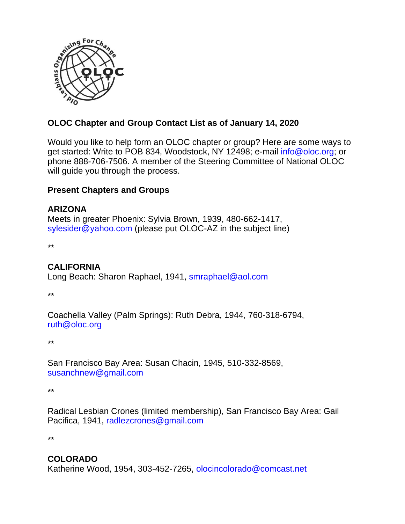

# **OLOC Chapter and Group Contact List as of January 14, 2020**

Would you like to help form an OLOC chapter or group? Here are some ways to get started: Write to POB 834, Woodstock, NY 12498; e-mail [info@oloc.org;](mailto:info@oloc.org) or phone 888-706-7506. A member of the Steering Committee of National OLOC will quide you through the process.

#### **Present Chapters and Groups**

#### **ARIZONA**

Meets in greater Phoenix: Sylvia Brown, 1939, 480-662-1417, [sylesider@yahoo.com](../../../AppData/Local/Library/Containers/com.apple.mail/Data/AppData/Local/Temp/sylesider@yahoo.com) (please put OLOC-AZ in the subject line)

\*\*

## **CALIFORNIA**

Long Beach: Sharon Raphael, 1941, <smraphael@aol.com>

\*\*

Coachella Valley (Palm Springs): Ruth Debra, 1944, 760-318-6794, [ruth@oloc.org](../../../AppData/Local/Library/Containers/com.apple.mail/Data/AppData/Local/Library/Containers/com.apple.mail/Data/Library/Mail%20Downloads/3FC22085-A3A2-4A82-AE2D-1FFE8620E0CD/ruth@oloc.org) 

\*\*

San Francisco Bay Area: Susan Chacin, 1945, 510-332-8569, susanchnew@gmail.com

\*\*

Radical Lesbian Crones (limited membership), San Francisco Bay Area: Gail Pacifica, 1941, [radlezcrones@gmail.com](mailto:radlezcrones@gmail.com)

\*\*

## **COLORADO**

Katherine Wood, 1954, 303-452-7265, [olocincolorado@comcast.net](mailto:olocincolorado@comcast.net)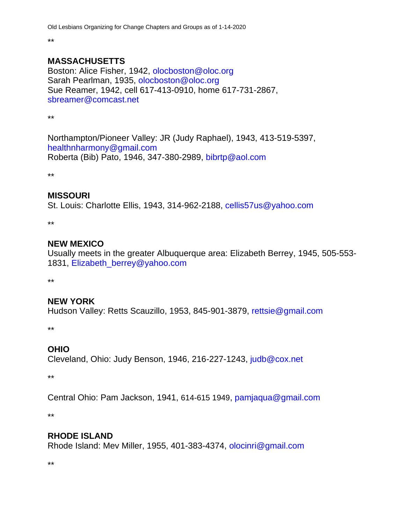\*\*

#### **MASSACHUSETTS**

Boston: Alice Fisher, 1942, [olocboston@oloc.org](../../../AppData/Local/Library/Containers/com.apple.mail/Data/AppData/Local/Library/Containers/com.apple.mail/Data/AppData/Local/Temp/olocboston@oloc.org) Sarah Pearlman, 1935, [olocboston@oloc.org](../../../AppData/Local/Library/Containers/com.apple.mail/Data/AppData/Local/Library/Containers/com.apple.mail/Data/AppData/Local/Temp/olocboston@oloc.org) Sue Reamer, 1942, cell 617-413-0910, home 617-731-2867, [sbreamer@comcast.net](../../../AppData/Local/Library/Containers/com.apple.mail/Data/AppData/Local/Library/Containers/com.apple.mail/Data/AppData/Local/Temp/sbreamer@comcast.net) 

\*\*

Northampton/Pioneer Valley: JR (Judy Raphael), 1943, 413-519-5397, [healthnharmony@gmail.com](mailto:healthnharmony@gmail.com%20Roberta)  [Roberta](mailto:healthnharmony@gmail.com%20Roberta) (Bib) Pato, 1946, 347-380-2989,<bibrtp@aol.com>

\*\*

## **MISSOURI**

St. Louis: Charlotte Ellis, 1943, 314-962-2188, [cellis57us@yahoo.com](mailto:cellis57us@yahoo.com) 

\*\*

## **NEW MEXICO**

Usually meets in the greater Albuquerque area: Elizabeth Berrey, 1945, 505-553- 1831, [Elizabeth\\_berrey@yahoo.com](mailto:Elizabeth_berrey@yahoo.com)

\*\*

## **NEW YORK**

Hudson Valley: Retts Scauzillo, 1953, 845-901-3879, [rettsie@gmail.com](mailto:rettsie@gmail.com)

\*\*

## **OHIO**

Cleveland, Ohio: Judy Benson, 1946, 216-227-1243, [judb@cox.net](mailto:judb@cox.net)

\*\*

Central Ohio: Pam Jackson, 1941, 614-615 1949, [pamjaqua@gmail.com](mailto:pamjaqua@gmail.com)

\*\*

## **RHODE ISLAND**

Rhode Island: Mev Miller, 1955, 401-383-4374, [olocinri@gmail.com](../../../AppData/Local/Library/Containers/com.apple.mail/Data/AppData/Local/Library/Containers/com.apple.mail/Data/Library/Mail%20Downloads/3FC22085-A3A2-4A82-AE2D-1FFE8620E0CD/olocinri@gmail.com)

\*\*